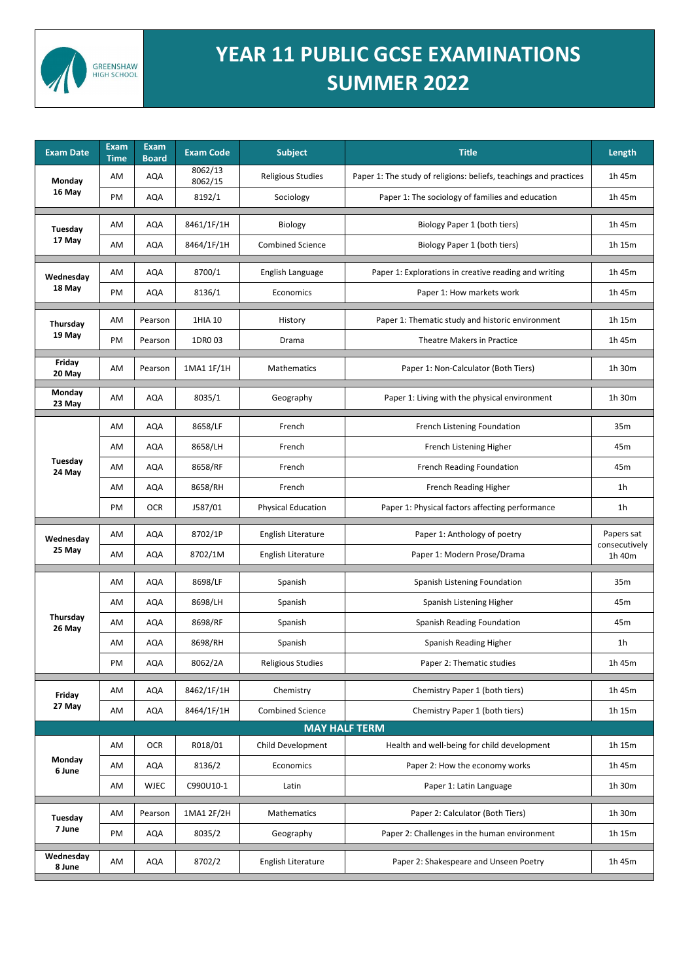

## **YEAR 11 PUBLIC GCSE EXAMINATIONS SUMMER 2022**

| <b>Exam Date</b>        | <b>Exam</b><br><b>Time</b> | <b>Exam</b><br><b>Board</b> | <b>Exam Code</b>   | <b>Subject</b>            | <b>Title</b>                                                      | Length                                |  |  |  |  |
|-------------------------|----------------------------|-----------------------------|--------------------|---------------------------|-------------------------------------------------------------------|---------------------------------------|--|--|--|--|
| <b>Monday</b><br>16 May | AM                         | <b>AQA</b>                  | 8062/13<br>8062/15 | <b>Religious Studies</b>  | Paper 1: The study of religions: beliefs, teachings and practices | 1h 45m                                |  |  |  |  |
|                         | PM                         | <b>AQA</b>                  | 8192/1             | Sociology                 | Paper 1: The sociology of families and education                  | 1h 45m                                |  |  |  |  |
| Tuesday<br>17 May       | AM                         | <b>AQA</b>                  | 8461/1F/1H         | Biology                   | Biology Paper 1 (both tiers)                                      | 1h 45m                                |  |  |  |  |
|                         | AM                         | <b>AQA</b>                  | 8464/1F/1H         | <b>Combined Science</b>   | Biology Paper 1 (both tiers)                                      | 1h 15m                                |  |  |  |  |
| Wednesday<br>18 May     | AM                         | <b>AQA</b>                  | 8700/1             | English Language          | Paper 1: Explorations in creative reading and writing             | 1h 45m                                |  |  |  |  |
|                         | PM                         | <b>AQA</b>                  | 8136/1             | Economics                 | Paper 1: How markets work                                         | 1h 45m                                |  |  |  |  |
| Thursday<br>19 May      | AM                         | Pearson                     | 1HIA 10            | History                   | Paper 1: Thematic study and historic environment                  | 1h 15m                                |  |  |  |  |
|                         | PM                         | Pearson                     | 1DR003             | Drama                     | <b>Theatre Makers in Practice</b>                                 | 1h 45m                                |  |  |  |  |
| Friday<br>20 May        | AM                         | Pearson                     | 1MA1 1F/1H         | <b>Mathematics</b>        | Paper 1: Non-Calculator (Both Tiers)                              | 1h 30m                                |  |  |  |  |
| <b>Monday</b><br>23 May | AM                         | <b>AQA</b>                  | 8035/1             | Geography                 | Paper 1: Living with the physical environment                     | 1h 30m                                |  |  |  |  |
| Tuesday<br>24 May       | AM                         | <b>AQA</b>                  | 8658/LF            | French                    | French Listening Foundation                                       | 35m                                   |  |  |  |  |
|                         | AM                         | <b>AQA</b>                  | 8658/LH            | French                    | French Listening Higher                                           | 45m                                   |  |  |  |  |
|                         | AM                         | <b>AQA</b>                  | 8658/RF            | French                    | <b>French Reading Foundation</b>                                  | 45m                                   |  |  |  |  |
|                         | AM                         | <b>AQA</b>                  | 8658/RH            | French                    | French Reading Higher                                             | 1 <sub>h</sub>                        |  |  |  |  |
|                         | PM                         | <b>OCR</b>                  | J587/01            | <b>Physical Education</b> | Paper 1: Physical factors affecting performance                   | 1 <sub>h</sub>                        |  |  |  |  |
| Wednesday<br>25 May     | AM                         | <b>AQA</b>                  | 8702/1P            | English Literature        | Paper 1: Anthology of poetry                                      | Papers sat<br>consecutively<br>1h 40m |  |  |  |  |
|                         | AM                         | <b>AQA</b>                  | 8702/1M            | English Literature        | Paper 1: Modern Prose/Drama                                       |                                       |  |  |  |  |
| Thursday<br>26 May      | AM                         | <b>AQA</b>                  | 8698/LF            | Spanish                   | Spanish Listening Foundation                                      | 35m                                   |  |  |  |  |
|                         | AM                         | <b>AQA</b>                  | 8698/LH            | Spanish                   | Spanish Listening Higher                                          | 45m                                   |  |  |  |  |
|                         | AM                         | <b>AQA</b>                  | 8698/RF            | Spanish                   | <b>Spanish Reading Foundation</b>                                 | 45m                                   |  |  |  |  |
|                         | AM                         | <b>AQA</b>                  | 8698/RH            | Spanish                   | Spanish Reading Higher                                            | 1 <sub>h</sub>                        |  |  |  |  |
|                         | PM                         | <b>AQA</b>                  | 8062/2A            | <b>Religious Studies</b>  | Paper 2: Thematic studies                                         | 1h 45m                                |  |  |  |  |
| Friday<br>27 May        | AM                         | <b>AQA</b>                  | 8462/1F/1H         | Chemistry                 | Chemistry Paper 1 (both tiers)                                    | 1h 45m                                |  |  |  |  |
|                         | AM                         | <b>AQA</b>                  | 8464/1F/1H         | <b>Combined Science</b>   | Chemistry Paper 1 (both tiers)                                    | 1h 15m                                |  |  |  |  |
| <b>MAY HALF TERM</b>    |                            |                             |                    |                           |                                                                   |                                       |  |  |  |  |
| Monday<br>6 June        | AM                         | <b>OCR</b>                  | R018/01            | Child Development         | Health and well-being for child development                       | 1h 15m                                |  |  |  |  |
|                         | AM                         | <b>AQA</b>                  | 8136/2             | Economics                 | Paper 2: How the economy works                                    | 1h 45m                                |  |  |  |  |
|                         | AM                         | <b>WJEC</b>                 | C990U10-1          | Latin                     | Paper 1: Latin Language                                           | 1h 30m                                |  |  |  |  |
| Tuesday<br>7 June       | AM                         | Pearson                     | 1MA1 2F/2H         | Mathematics               | Paper 2: Calculator (Both Tiers)                                  | 1h 30m                                |  |  |  |  |
|                         | PM                         | <b>AQA</b>                  | 8035/2             | Geography                 | Paper 2: Challenges in the human environment                      | 1h 15m                                |  |  |  |  |
| Wednesday<br>8 June     | AM                         | <b>AQA</b>                  | 8702/2             | English Literature        | Paper 2: Shakespeare and Unseen Poetry                            | 1h 45m                                |  |  |  |  |